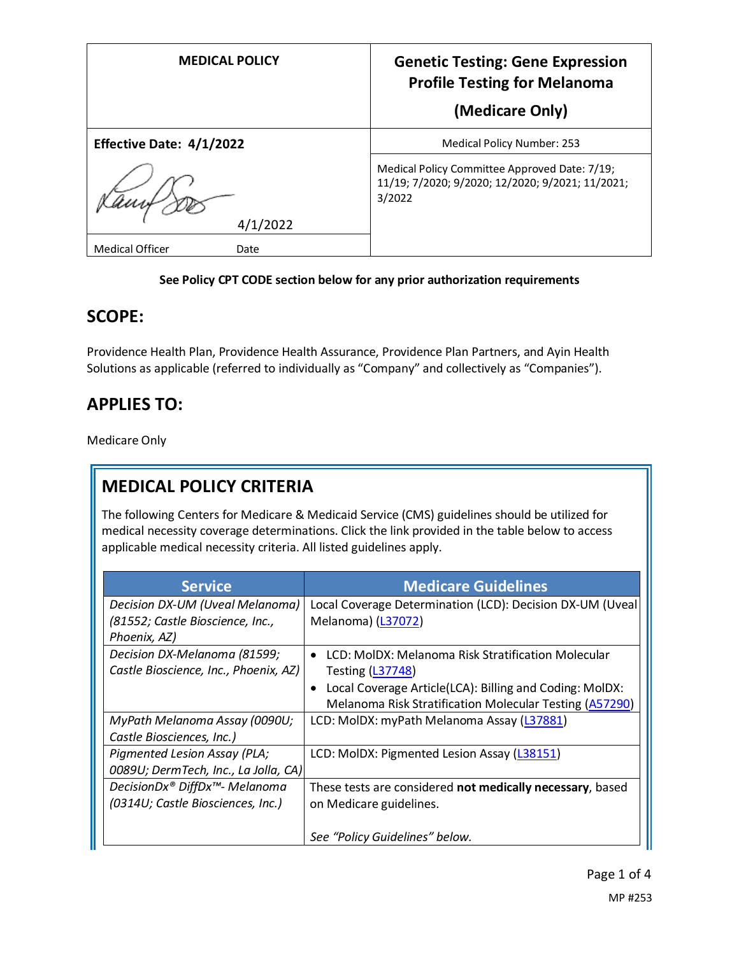| <b>MEDICAL POLICY</b>          | <b>Genetic Testing: Gene Expression</b><br><b>Profile Testing for Melanoma</b><br>(Medicare Only)           |
|--------------------------------|-------------------------------------------------------------------------------------------------------------|
| Effective Date: 4/1/2022       | <b>Medical Policy Number: 253</b>                                                                           |
| 4/1/2022                       | Medical Policy Committee Approved Date: 7/19;<br>11/19; 7/2020; 9/2020; 12/2020; 9/2021; 11/2021;<br>3/2022 |
| <b>Medical Officer</b><br>Date |                                                                                                             |

#### **See Policy CPT CODE section below for any prior authorization requirements**

## **SCOPE:**

Providence Health Plan, Providence Health Assurance, Providence Plan Partners, and Ayin Health Solutions as applicable (referred to individually as "Company" and collectively as "Companies").

## **APPLIES TO:**

Medicare Only

# **MEDICAL POLICY CRITERIA**

The following Centers for Medicare & Medicaid Service (CMS) guidelines should be utilized for medical necessity coverage determinations. Click the link provided in the table below to access applicable medical necessity criteria. All listed guidelines apply.

| <b>Service</b>                        | <b>Medicare Guidelines</b>                                           |
|---------------------------------------|----------------------------------------------------------------------|
| Decision DX-UM (Uveal Melanoma)       | Local Coverage Determination (LCD): Decision DX-UM (Uveal            |
| (81552; Castle Bioscience, Inc.,      | Melanoma) (L37072)                                                   |
| Phoenix, AZ)                          |                                                                      |
| Decision DX-Melanoma (81599;          | LCD: MolDX: Melanoma Risk Stratification Molecular<br>$\bullet$      |
| Castle Bioscience, Inc., Phoenix, AZ) | <b>Testing (L37748)</b>                                              |
|                                       | Local Coverage Article(LCA): Billing and Coding: MolDX:<br>$\bullet$ |
|                                       | Melanoma Risk Stratification Molecular Testing (A57290)              |
| MyPath Melanoma Assay (0090U;         | LCD: MolDX: myPath Melanoma Assay (L37881)                           |
| Castle Biosciences, Inc.)             |                                                                      |
| Pigmented Lesion Assay (PLA;          | LCD: MolDX: Pigmented Lesion Assay (L38151)                          |
| 0089U; DermTech, Inc., La Jolla, CA)  |                                                                      |
| DecisionDx® DiffDx™- Melanoma         | These tests are considered not medically necessary, based            |
| (0314U; Castle Biosciences, Inc.)     | on Medicare guidelines.                                              |
|                                       |                                                                      |
|                                       | See "Policy Guidelines" below.                                       |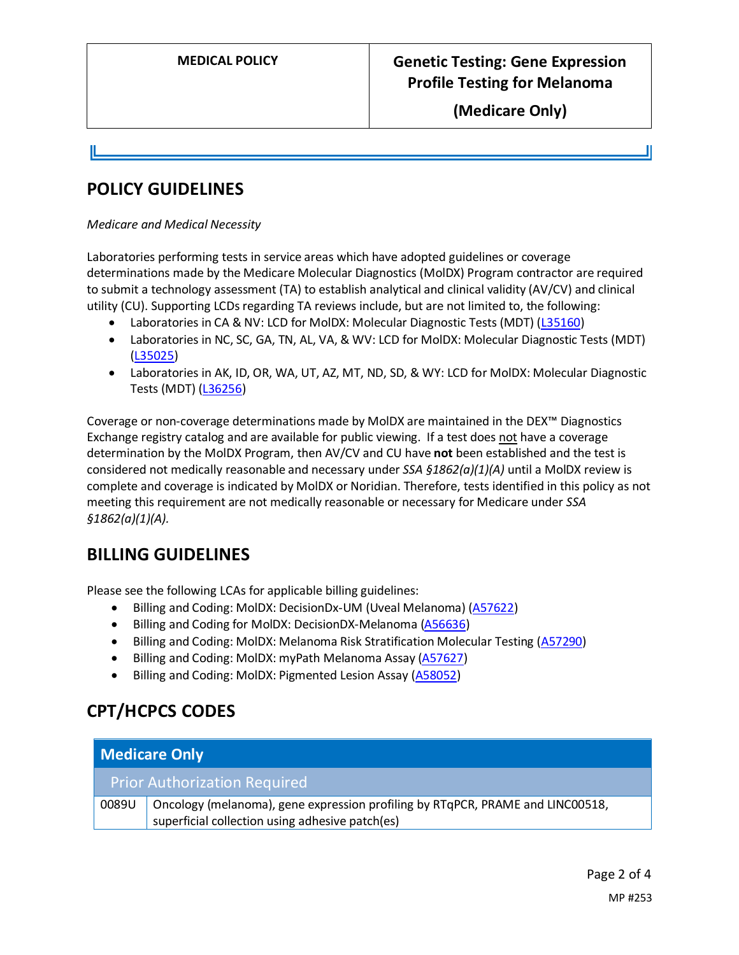**(Medicare Only)**

## **POLICY GUIDELINES**

#### *Medicare and Medical Necessity*

Laboratories performing tests in service areas which have adopted guidelines or coverage determinations made by the Medicare Molecular Diagnostics (MolDX) Program contractor are required to submit a technology assessment (TA) to establish analytical and clinical validity (AV/CV) and clinical utility (CU). Supporting LCDs regarding TA reviews include, but are not limited to, the following:

- Laboratories in CA & NV: LCD for MolDX: Molecular Diagnostic Tests (MDT) [\(L35160\)](https://www.cms.gov/medicare-coverage-database/view/lcd.aspx?lcdid=35160)
- Laboratories in NC, SC, GA, TN, AL, VA, & WV: LCD for MolDX: Molecular Diagnostic Tests (MDT) [\(L35025\)](https://www.cms.gov/medicare-coverage-database/view/lcd.aspx?lcdid=35025)
- Laboratories in AK, ID, OR, WA, UT, AZ, MT, ND, SD, & WY: LCD for MolDX: Molecular Diagnostic Tests (MDT) [\(L36256\)](https://www.cms.gov/medicare-coverage-database/view/lcd.aspx?lcdid=36256)

Coverage or non-coverage determinations made by MolDX are maintained in the DEX™ Diagnostics Exchange registry catalog and are available for public viewing. If a test does not have a coverage determination by the MolDX Program, then AV/CV and CU have **not** been established and the test is considered not medically reasonable and necessary under *SSA §1862(a)(1)(A)* until a MolDX review is complete and coverage is indicated by MolDX or Noridian. Therefore, tests identified in this policy as not meeting this requirement are not medically reasonable or necessary for Medicare under *SSA §1862(a)(1)(A).*

# **BILLING GUIDELINES**

Please see the following LCAs for applicable billing guidelines:

- Billing and Coding: MolDX: DecisionDx-UM (Uveal Melanoma) [\(A57622\)](https://www.cms.gov/medicare-coverage-database/details/article-details.aspx?articleId=57622)
- Billing and Coding for MolDX: DecisionDX-Melanoma [\(A56636\)](https://www.cms.gov/medicare-coverage-database/details/article-details.aspx?articleId=57418)
- Billing and Coding: MolDX: Melanoma Risk Stratification Molecular Testing [\(A57290\)](https://www.cms.gov/medicare-coverage-database/details/article-details.aspx?articleid=57290)
- Billing and Coding: MolDX: myPath Melanoma Assay [\(A57627\)](https://www.cms.gov/medicare-coverage-database/details/article-details.aspx?articleId=57627)
- Billing and Coding: MolDX: Pigmented Lesion Assay [\(A58052\)](https://www.cms.gov/medicare-coverage-database/details/article-details.aspx?articleId=58052)

# **CPT/HCPCS CODES**

| <b>Medicare Only</b> |                                                                                                                                   |
|----------------------|-----------------------------------------------------------------------------------------------------------------------------------|
|                      | <b>Prior Authorization Required</b>                                                                                               |
| 0089U                | Oncology (melanoma), gene expression profiling by RTqPCR, PRAME and LINC00518,<br>superficial collection using adhesive patch(es) |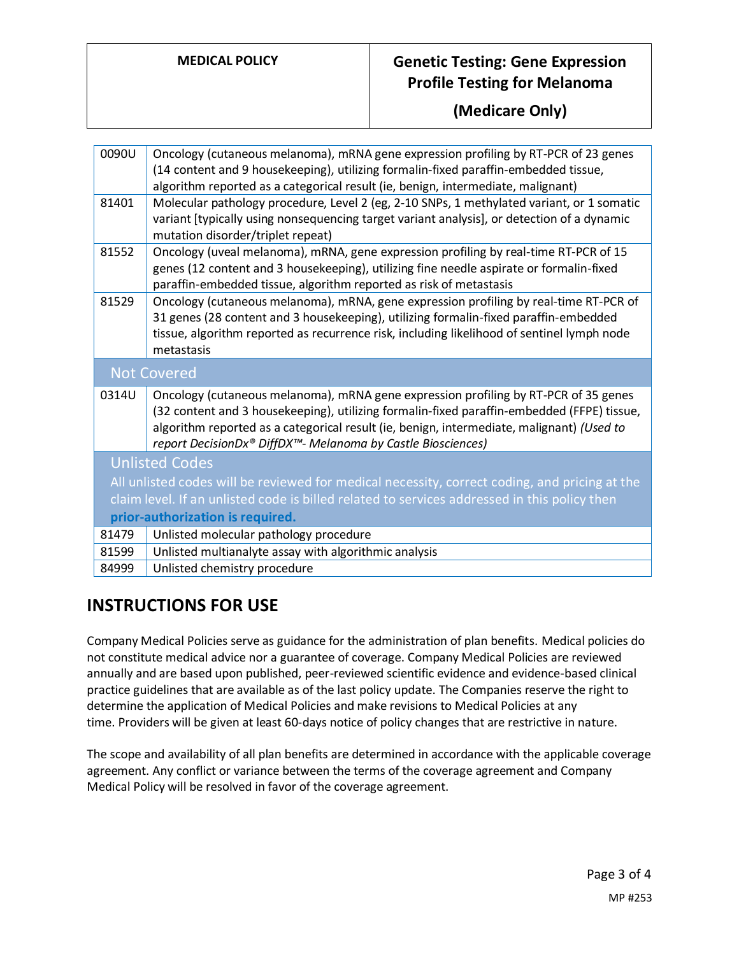### **MEDICAL POLICY Genetic Testing: Gene Expression Profile Testing for Melanoma**

#### **(Medicare Only)**

| 0090U                                                                                         | Oncology (cutaneous melanoma), mRNA gene expression profiling by RT-PCR of 23 genes<br>(14 content and 9 housekeeping), utilizing formalin-fixed paraffin-embedded tissue,                                                                                                                                                                    |
|-----------------------------------------------------------------------------------------------|-----------------------------------------------------------------------------------------------------------------------------------------------------------------------------------------------------------------------------------------------------------------------------------------------------------------------------------------------|
|                                                                                               | algorithm reported as a categorical result (ie, benign, intermediate, malignant)                                                                                                                                                                                                                                                              |
| 81401                                                                                         | Molecular pathology procedure, Level 2 (eg, 2-10 SNPs, 1 methylated variant, or 1 somatic                                                                                                                                                                                                                                                     |
|                                                                                               | variant [typically using nonsequencing target variant analysis], or detection of a dynamic<br>mutation disorder/triplet repeat)                                                                                                                                                                                                               |
| 81552                                                                                         | Oncology (uveal melanoma), mRNA, gene expression profiling by real-time RT-PCR of 15<br>genes (12 content and 3 housekeeping), utilizing fine needle aspirate or formalin-fixed<br>paraffin-embedded tissue, algorithm reported as risk of metastasis                                                                                         |
| 81529                                                                                         | Oncology (cutaneous melanoma), mRNA, gene expression profiling by real-time RT-PCR of                                                                                                                                                                                                                                                         |
|                                                                                               | 31 genes (28 content and 3 housekeeping), utilizing formalin-fixed paraffin-embedded                                                                                                                                                                                                                                                          |
|                                                                                               | tissue, algorithm reported as recurrence risk, including likelihood of sentinel lymph node                                                                                                                                                                                                                                                    |
|                                                                                               | metastasis                                                                                                                                                                                                                                                                                                                                    |
| <b>Not Covered</b>                                                                            |                                                                                                                                                                                                                                                                                                                                               |
| 0314U                                                                                         | Oncology (cutaneous melanoma), mRNA gene expression profiling by RT-PCR of 35 genes<br>(32 content and 3 housekeeping), utilizing formalin-fixed paraffin-embedded (FFPE) tissue,<br>algorithm reported as a categorical result (ie, benign, intermediate, malignant) (Used to<br>report DecisionDx® DiffDX™- Melanoma by Castle Biosciences) |
|                                                                                               | <b>Unlisted Codes</b>                                                                                                                                                                                                                                                                                                                         |
| All unlisted codes will be reviewed for medical necessity, correct coding, and pricing at the |                                                                                                                                                                                                                                                                                                                                               |
| claim level. If an unlisted code is billed related to services addressed in this policy then  |                                                                                                                                                                                                                                                                                                                                               |
| prior-authorization is required.                                                              |                                                                                                                                                                                                                                                                                                                                               |
|                                                                                               |                                                                                                                                                                                                                                                                                                                                               |
| 81479                                                                                         | Unlisted molecular pathology procedure                                                                                                                                                                                                                                                                                                        |
| 81599                                                                                         | Unlisted multianalyte assay with algorithmic analysis                                                                                                                                                                                                                                                                                         |

# **INSTRUCTIONS FOR USE**

Company Medical Policies serve as guidance for the administration of plan benefits. Medical policies do not constitute medical advice nor a guarantee of coverage. Company Medical Policies are reviewed annually and are based upon published, peer-reviewed scientific evidence and evidence-based clinical practice guidelines that are available as of the last policy update. The Companies reserve the right to determine the application of Medical Policies and make revisions to Medical Policies at any time. Providers will be given at least 60-days notice of policy changes that are restrictive in nature.

The scope and availability of all plan benefits are determined in accordance with the applicable coverage agreement. Any conflict or variance between the terms of the coverage agreement and Company Medical Policy will be resolved in favor of the coverage agreement.